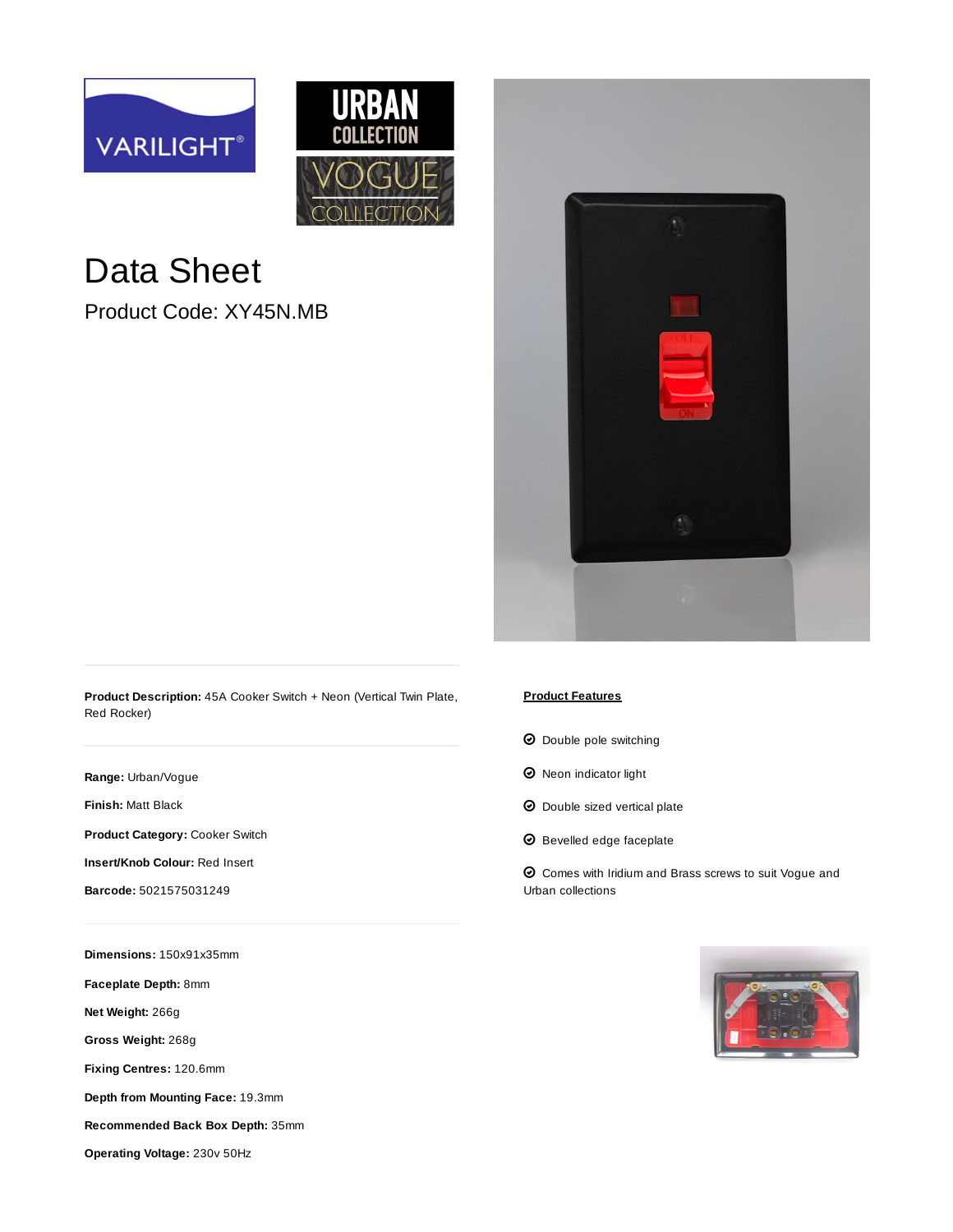



## Data Sheet

Product Code: XY45N.MB



**Product Description:** 45A Cooker Switch + Neon (Vertical Twin Plate, Red Rocker)

**Range:** [Urban/Vogue](https://www.varilight.co.uk/ranges/urban-range.php)

**Finish:** [Matt Black](https://www.varilight.co.uk/ranges/range-urban-matt-black.php)

**Product Category:** Cooker Switch

**Insert/Knob Colour:** Red Insert

**Barcode:** 5021575031249

**Dimensions:** 150x91x35mm

**Faceplate Depth:** 8mm

**Net Weight:** 266g

**Gross Weight:** 268g

**Fixing Centres:** 120.6mm

**Depth from Mounting Face:** 19.3mm

**Recommended Back Box Depth:** 35mm

**Operating Voltage:** 230v 50Hz

## **Product Features**

- $\Theta$  Double pole switching
- $\Theta$  Neon indicator light
- $\odot$  Double sized vertical plate
- $\boldsymbol{\Theta}$  Bevelled edge faceplate

 $\Theta$  Comes with Iridium and Brass screws to suit Vogue and Urban collections